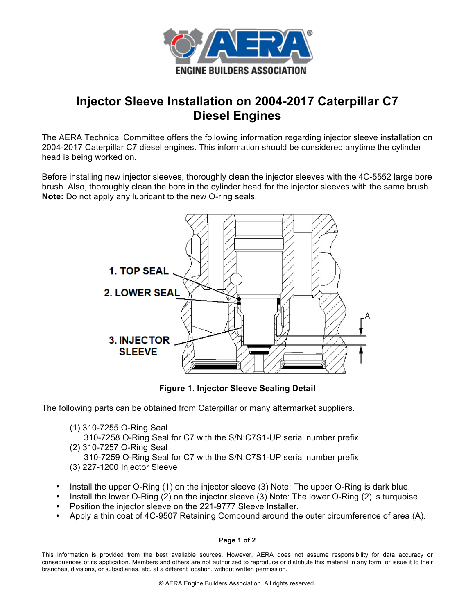

## **Injector Sleeve Installation on 2004-2017 Caterpillar C7 Diesel Engines**

The AERA Technical Committee offers the following information regarding injector sleeve installation on 2004-2017 Caterpillar C7 diesel engines. This information should be considered anytime the cylinder head is being worked on.

Before installing new injector sleeves, thoroughly clean the injector sleeves with the 4C-5552 large bore brush. Also, thoroughly clean the bore in the cylinder head for the injector sleeves with the same brush. **Note:** Do not apply any lubricant to the new O-ring seals.



**Figure 1. Injector Sleeve Sealing Detail**

The following parts can be obtained from Caterpillar or many aftermarket suppliers.

(1) 310-7255 O-Ring Seal

 310-7258 O-Ring Seal for C7 with the S/N:C7S1-UP serial number prefix (2) 310-7257 O-Ring Seal

 310-7259 O-Ring Seal for C7 with the S/N:C7S1-UP serial number prefix (3) 227-1200 Injector Sleeve

- Install the upper O-Ring (1) on the injector sleeve (3) Note: The upper O-Ring is dark blue.
- Install the lower O-Ring (2) on the injector sleeve (3) Note: The lower O-Ring (2) is turquoise.
- Position the injector sleeve on the 221-9777 Sleeve Installer.
- Apply a thin coat of 4C-9507 Retaining Compound around the outer circumference of area (A).

## **Page 1 of 2**

This information is provided from the best available sources. However, AERA does not assume responsibility for data accuracy or consequences of its application. Members and others are not authorized to reproduce or distribute this material in any form, or issue it to their branches, divisions, or subsidiaries, etc. at a different location, without written permission.